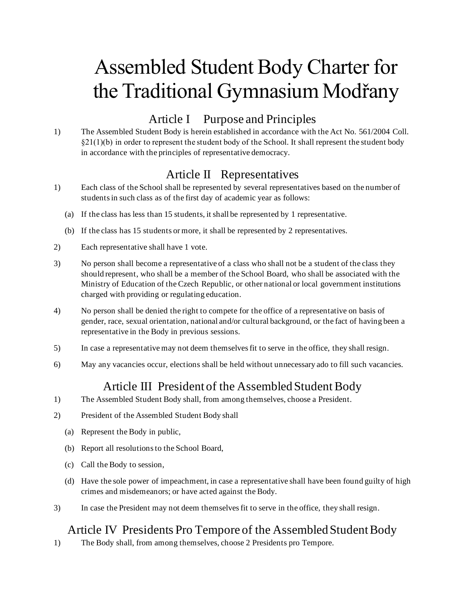# Assembled Student Body Charter for the Traditional Gymnasium Modřany

### Article I Purpose and Principles

1) The Assembled Student Body is herein established in accordance with the Act No. 561/2004 Coll.  $\S21(1)(b)$  in order to represent the student body of the School. It shall represent the student body in accordance with the principles of representative democracy.

### Article II Representatives

- 1) Each class of the School shall be represented by several representatives based on the number of students in such class as of the first day of academic year as follows:
	- (a) If the class has less than 15 students, it shall be represented by 1 representative.
	- (b) If the class has 15 students or more, it shall be represented by 2 representatives.
- 2) Each representative shall have 1 vote.
- 3) No person shall become a representative of a class who shall not be a student of the class they should represent, who shall be a member of the School Board, who shall be associated with the Ministry of Education of the Czech Republic, or other national or local government institutions charged with providing or regulating education.
- 4) No person shall be denied the right to compete for the office of a representative on basis of gender, race, sexual orientation, national and/or cultural background, or the fact of having been a representative in the Body in previous sessions.
- 5) In case a representative may not deem themselves fit to serve in the office, they shall resign.
- 6) May any vacancies occur, elections shall be held without unnecessary ado to fill such vacancies.

# Article III President of the Assembled Student Body

- 1) The Assembled Student Body shall, from among themselves, choose a President.
- 2) President of the Assembled Student Body shall
	- (a) Represent the Body in public,
	- (b) Report all resolutions to the School Board,
	- (c) Call the Body to session,
	- (d) Have the sole power of impeachment, in case a representative shall have been found guilty of high crimes and misdemeanors; or have acted against the Body.
- 3) In case the President may not deem themselves fit to serve in the office, they shall resign.

# Article IV Presidents Pro Tempore of the Assembled Student Body

1) The Body shall, from among themselves, choose 2 Presidents pro Tempore.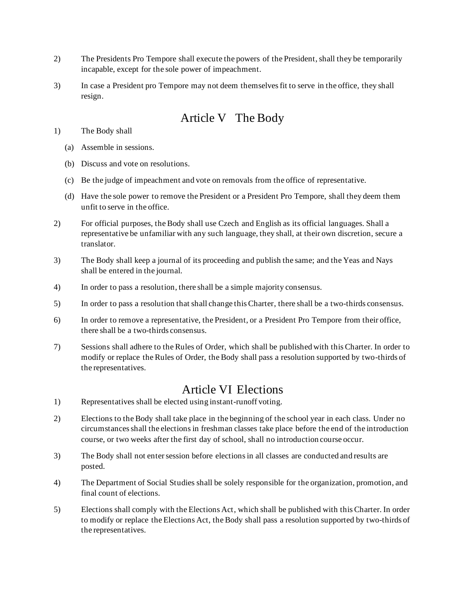- 2) The Presidents Pro Tempore shall execute the powers of the President, shall they be temporarily incapable, except for the sole power of impeachment.
- 3) In case a President pro Tempore may not deem themselves fit to serve in the office, they shall resign.

# Article V The Body

1) The Body shall

- (a) Assemble in sessions.
- (b) Discuss and vote on resolutions.
- (c) Be the judge of impeachment and vote on removals from the office of representative.
- (d) Have the sole power to remove the President or a President Pro Tempore, shall they deem them unfit to serve in the office.
- 2) For official purposes, the Body shall use Czech and English as its official languages. Shall a representative be unfamiliar with any such language, they shall, at their own discretion, secure a translator.
- 3) The Body shall keep a journal of its proceeding and publish the same; and the Yeas and Nays shall be entered in the journal.
- 4) In order to pass a resolution, there shall be a simple majority consensus.
- 5) In order to pass a resolution that shall change this Charter, there shall be a two-thirds consensus.
- 6) In order to remove a representative, the President, or a President Pro Tempore from their office, there shall be a two-thirds consensus.
- 7) Sessions shall adhere to the Rules of Order, which shall be published with this Charter. In order to modify or replace the Rules of Order, the Body shall pass a resolution supported by two-thirds of the representatives.

#### Article VI Elections

- 1) Representatives shall be elected using instant-runoff voting.
- 2) Elections to the Body shall take place in the beginning of the school year in each class. Under no circumstances shall the electionsin freshman classes take place before the end of the introduction course, or two weeks after the first day of school, shall no introduction course occur.
- 3) The Body shall not enter session before elections in all classes are conducted and results are posted.
- 4) The Department of Social Studies shall be solely responsible for the organization, promotion, and final count of elections.
- 5) Elections shall comply with the Elections Act, which shall be published with this Charter. In order to modify or replace the Elections Act, the Body shall pass a resolution supported by two-thirds of the representatives.